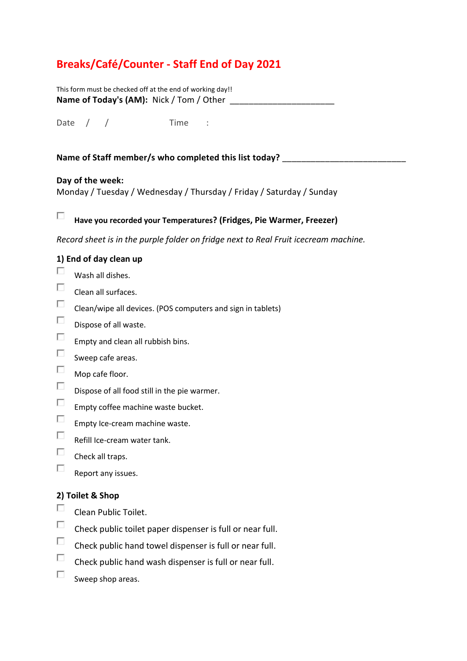## **Breaks/Café/Counter - Staff End of Day 2021**

| This form must be checked off at the end of working day!! |  |
|-----------------------------------------------------------|--|
| Name of Today's (AM): Nick / Tom / Other                  |  |

Date / / Time :

#### **Name of Staff member/s who completed this list today? \_\_\_\_\_\_\_\_\_\_\_\_\_\_\_\_\_\_\_\_\_\_\_\_\_\_**

#### **Day of the week:**

Monday / Tuesday / Wednesday / Thursday / Friday / Saturday / Sunday

#### П **Have you recorded your Temperatures? (Fridges, Pie Warmer, Freezer)**

*Record sheet is in the purple folder on fridge next to Real Fruit icecream machine.* 

#### **1) End of day clean up**

- $\Box$ Wash all dishes.
- $\Box$ Clean all surfaces.
- $\Box$ Clean/wipe all devices. (POS computers and sign in tablets)
- $\Box$ Dispose of all waste.
- $\Box$ Empty and clean all rubbish bins.
- $\Box$ Sweep cafe areas.
- $\Box$ Mop cafe floor.
- $\Box$ Dispose of all food still in the pie warmer.
- $\Box$ Empty coffee machine waste bucket.
- $\Box$ Empty Ice-cream machine waste.
- $\Box$ Refill Ice-cream water tank.
- $\Box$ Check all traps.
- П. Report any issues.

#### **2) Toilet & Shop**

- $\Box$ Clean Public Toilet.
- $\Box$ Check public toilet paper dispenser is full or near full.
- $\Box$ Check public hand towel dispenser is full or near full.
- $\Box$ Check public hand wash dispenser is full or near full.
- $\Box$ Sweep shop areas.